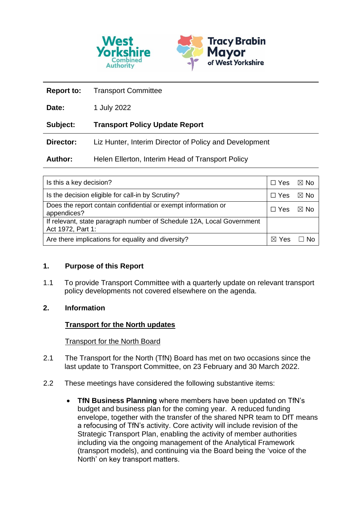

| <b>Report to:</b> | <b>Transport Committee</b>                             |
|-------------------|--------------------------------------------------------|
| Date:             | 1 July 2022                                            |
| Subject:          | <b>Transport Policy Update Report</b>                  |
| Director:         | Liz Hunter, Interim Director of Policy and Development |
| Author:           | Helen Ellerton, Interim Head of Transport Policy       |

| Is this a key decision?                                                                    |  | ⊠ No |
|--------------------------------------------------------------------------------------------|--|------|
| Is the decision eligible for call-in by Scrutiny?                                          |  | ⊠ No |
| Does the report contain confidential or exempt information or<br>appendices?               |  | ⊠ No |
| If relevant, state paragraph number of Schedule 12A, Local Government<br>Act 1972, Part 1: |  |      |
| Are there implications for equality and diversity?                                         |  |      |

#### **1. Purpose of this Report**

1.1 To provide Transport Committee with a quarterly update on relevant transport policy developments not covered elsewhere on the agenda.

# **2. Information**

# **Transport for the North updates**

#### Transport for the North Board

- 2.1 The Transport for the North (TfN) Board has met on two occasions since the last update to Transport Committee, on 23 February and 30 March 2022.
- 2.2 These meetings have considered the following substantive items:
	- **TfN Business Planning** where members have been updated on TfN's budget and business plan for the coming year. A reduced funding envelope, together with the transfer of the shared NPR team to DfT means a refocusing of TfN's activity. Core activity will include revision of the Strategic Transport Plan, enabling the activity of member authorities including via the ongoing management of the Analytical Framework (transport models), and continuing via the Board being the 'voice of the North' on key transport matters.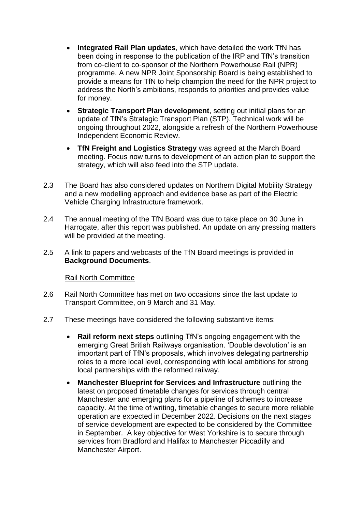- **Integrated Rail Plan updates**, which have detailed the work TfN has been doing in response to the publication of the IRP and TfN's transition from co-client to co-sponsor of the Northern Powerhouse Rail (NPR) programme. A new NPR Joint Sponsorship Board is being established to provide a means for TfN to help champion the need for the NPR project to address the North's ambitions, responds to priorities and provides value for money.
- **Strategic Transport Plan development**, setting out initial plans for an update of TfN's Strategic Transport Plan (STP). Technical work will be ongoing throughout 2022, alongside a refresh of the Northern Powerhouse Independent Economic Review.
- **TfN Freight and Logistics Strategy** was agreed at the March Board meeting. Focus now turns to development of an action plan to support the strategy, which will also feed into the STP update.
- 2.3 The Board has also considered updates on Northern Digital Mobility Strategy and a new modelling approach and evidence base as part of the Electric Vehicle Charging Infrastructure framework.
- 2.4 The annual meeting of the TfN Board was due to take place on 30 June in Harrogate, after this report was published. An update on any pressing matters will be provided at the meeting.
- 2.5 A link to papers and webcasts of the TfN Board meetings is provided in **Background Documents**.

#### Rail North Committee

- 2.6 Rail North Committee has met on two occasions since the last update to Transport Committee, on 9 March and 31 May.
- 2.7 These meetings have considered the following substantive items:
	- **Rail reform next steps** outlining TfN's ongoing engagement with the emerging Great British Railways organisation. 'Double devolution' is an important part of TfN's proposals, which involves delegating partnership roles to a more local level, corresponding with local ambitions for strong local partnerships with the reformed railway.
	- **Manchester Blueprint for Services and Infrastructure** outlining the latest on proposed timetable changes for services through central Manchester and emerging plans for a pipeline of schemes to increase capacity. At the time of writing, timetable changes to secure more reliable operation are expected in December 2022. Decisions on the next stages of service development are expected to be considered by the Committee in September. A key objective for West Yorkshire is to secure through services from Bradford and Halifax to Manchester Piccadilly and Manchester Airport.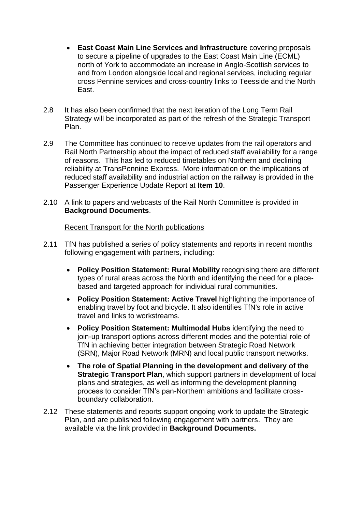- **East Coast Main Line Services and Infrastructure** covering proposals to secure a pipeline of upgrades to the East Coast Main Line (ECML) north of York to accommodate an increase in Anglo-Scottish services to and from London alongside local and regional services, including regular cross Pennine services and cross-country links to Teesside and the North East.
- 2.8 It has also been confirmed that the next iteration of the Long Term Rail Strategy will be incorporated as part of the refresh of the Strategic Transport Plan.
- 2.9 The Committee has continued to receive updates from the rail operators and Rail North Partnership about the impact of reduced staff availability for a range of reasons. This has led to reduced timetables on Northern and declining reliability at TransPennine Express. More information on the implications of reduced staff availability and industrial action on the railway is provided in the Passenger Experience Update Report at **Item 10**.
- 2.10 A link to papers and webcasts of the Rail North Committee is provided in **Background Documents**.

#### Recent Transport for the North publications

- 2.11 TfN has published a series of policy statements and reports in recent months following engagement with partners, including:
	- **Policy Position Statement: Rural Mobility** recognising there are different types of rural areas across the North and identifying the need for a placebased and targeted approach for individual rural communities.
	- **Policy Position Statement: Active Travel** highlighting the importance of enabling travel by foot and bicycle. It also identifies TfN's role in active travel and links to workstreams.
	- **Policy Position Statement: Multimodal Hubs** identifying the need to join-up transport options across different modes and the potential role of TfN in achieving better integration between Strategic Road Network (SRN), Major Road Network (MRN) and local public transport networks.
	- **The role of Spatial Planning in the development and delivery of the Strategic Transport Plan**, which support partners in development of local plans and strategies, as well as informing the development planning process to consider TfN's pan-Northern ambitions and facilitate crossboundary collaboration.
- 2.12 These statements and reports support ongoing work to update the Strategic Plan, and are published following engagement with partners. They are available via the link provided in **Background Documents.**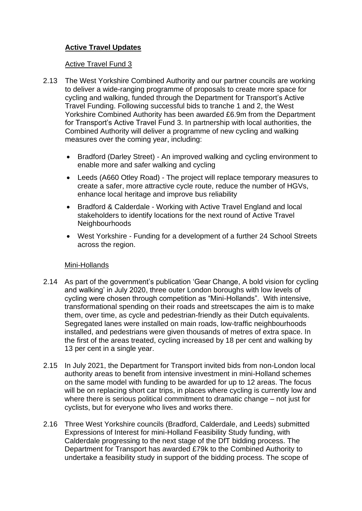# **Active Travel Updates**

#### Active Travel Fund 3

- 2.13 The West Yorkshire Combined Authority and our partner councils are working to deliver a wide-ranging programme of proposals to create more space for cycling and walking, funded through the Department for Transport's Active Travel Funding. Following successful bids to tranche 1 and 2, the West Yorkshire Combined Authority has been awarded £6.9m from the Department for Transport's Active Travel Fund 3. In partnership with local authorities, the Combined Authority will deliver a programme of new cycling and walking measures over the coming year, including:
	- Bradford (Darley Street) An improved walking and cycling environment to enable more and safer walking and cycling
	- Leeds (A660 Otley Road) The project will replace temporary measures to create a safer, more attractive cycle route, reduce the number of HGVs, enhance local heritage and improve bus reliability
	- Bradford & Calderdale Working with Active Travel England and local stakeholders to identify locations for the next round of Active Travel **Neighbourhoods**
	- West Yorkshire Funding for a development of a further 24 School Streets across the region.

#### Mini-Hollands

- 2.14 As part of the government's publication 'Gear Change, A bold vision for cycling and walking' in July 2020, three outer London boroughs with low levels of cycling were chosen through competition as "Mini-Hollands". With intensive, transformational spending on their roads and streetscapes the aim is to make them, over time, as cycle and pedestrian-friendly as their Dutch equivalents. Segregated lanes were installed on main roads, low-traffic neighbourhoods installed, and pedestrians were given thousands of metres of extra space. In the first of the areas treated, cycling increased by 18 per cent and walking by 13 per cent in a single year.
- 2.15 In July 2021, the Department for Transport invited bids from non-London local authority areas to benefit from intensive investment in mini-Holland schemes on the same model with funding to be awarded for up to 12 areas. The focus will be on replacing short car trips, in places where cycling is currently low and where there is serious political commitment to dramatic change – not just for cyclists, but for everyone who lives and works there.
- 2.16 Three West Yorkshire councils (Bradford, Calderdale, and Leeds) submitted Expressions of Interest for mini-Holland Feasibility Study funding, with Calderdale progressing to the next stage of the DfT bidding process. The Department for Transport has awarded £79k to the Combined Authority to undertake a feasibility study in support of the bidding process. The scope of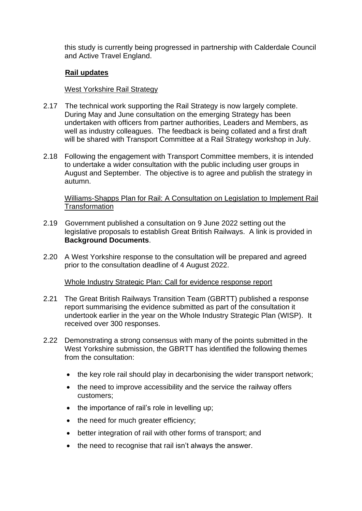this study is currently being progressed in partnership with Calderdale Council and Active Travel England.

## **Rail updates**

#### West Yorkshire Rail Strategy

- 2.17 The technical work supporting the Rail Strategy is now largely complete. During May and June consultation on the emerging Strategy has been undertaken with officers from partner authorities, Leaders and Members, as well as industry colleagues. The feedback is being collated and a first draft will be shared with Transport Committee at a Rail Strategy workshop in July.
- 2.18 Following the engagement with Transport Committee members, it is intended to undertake a wider consultation with the public including user groups in August and September. The objective is to agree and publish the strategy in autumn.

#### Williams-Shapps Plan for Rail: A Consultation on Legislation to Implement Rail **Transformation**

- 2.19 Government published a consultation on 9 June 2022 setting out the legislative proposals to establish Great British Railways. A link is provided in **Background Documents**.
- 2.20 A West Yorkshire response to the consultation will be prepared and agreed prior to the consultation deadline of 4 August 2022.

#### Whole Industry Strategic Plan: Call for evidence response report

- 2.21 The Great British Railways Transition Team (GBRTT) published a response report summarising the evidence submitted as part of the consultation it undertook earlier in the year on the Whole Industry Strategic Plan (WISP). It received over 300 responses.
- 2.22 Demonstrating a strong consensus with many of the points submitted in the West Yorkshire submission, the GBRTT has identified the following themes from the consultation:
	- the key role rail should play in decarbonising the wider transport network;
	- the need to improve accessibility and the service the railway offers customers;
	- the importance of rail's role in levelling up;
	- the need for much greater efficiency;
	- better integration of rail with other forms of transport; and
	- the need to recognise that rail isn't always the answer.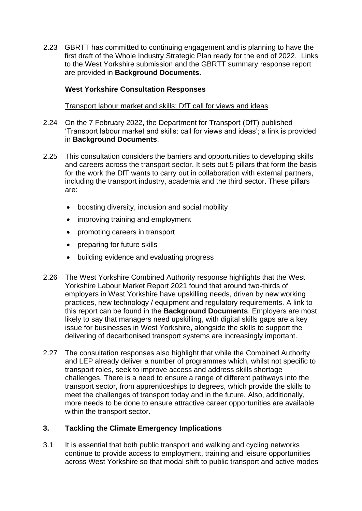2.23 GBRTT has committed to continuing engagement and is planning to have the first draft of the Whole Industry Strategic Plan ready for the end of 2022. Links to the West Yorkshire submission and the GBRTT summary response report are provided in **Background Documents**.

# **West Yorkshire Consultation Responses**

Transport labour market and skills: DfT call for views and ideas

- 2.24 On the 7 February 2022, the Department for Transport (DfT) published 'Transport labour market and skills: call for views and ideas'; a link is provided in **Background Documents**.
- 2.25 This consultation considers the barriers and opportunities to developing skills and careers across the transport sector. It sets out 5 pillars that form the basis for the work the DfT wants to carry out in collaboration with external partners, including the transport industry, academia and the third sector. These pillars are:
	- boosting diversity, inclusion and social mobility
	- improving training and employment
	- promoting careers in transport
	- preparing for future skills
	- building evidence and evaluating progress
- 2.26 The West Yorkshire Combined Authority response highlights that the West Yorkshire Labour Market Report 2021 found that around two-thirds of employers in West Yorkshire have upskilling needs, driven by new working practices, new technology / equipment and regulatory requirements. A link to this report can be found in the **Background Documents**. Employers are most likely to say that managers need upskilling, with digital skills gaps are a key issue for businesses in West Yorkshire, alongside the skills to support the delivering of decarbonised transport systems are increasingly important.
- 2.27 The consultation responses also highlight that while the Combined Authority and LEP already deliver a number of programmes which, whilst not specific to transport roles, seek to improve access and address skills shortage challenges. There is a need to ensure a range of different pathways into the transport sector, from apprenticeships to degrees, which provide the skills to meet the challenges of transport today and in the future. Also, additionally, more needs to be done to ensure attractive career opportunities are available within the transport sector.

#### **3. Tackling the Climate Emergency Implications**

3.1 It is essential that both public transport and walking and cycling networks continue to provide access to employment, training and leisure opportunities across West Yorkshire so that modal shift to public transport and active modes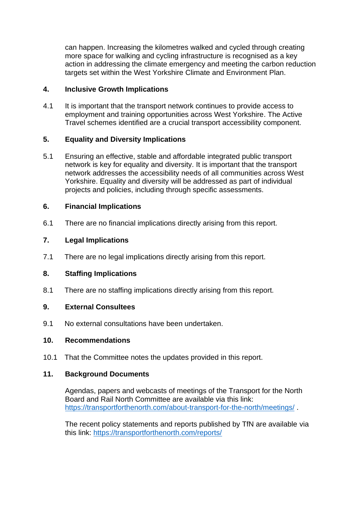can happen. Increasing the kilometres walked and cycled through creating more space for walking and cycling infrastructure is recognised as a key action in addressing the climate emergency and meeting the carbon reduction targets set within the West Yorkshire Climate and Environment Plan.

# **4. Inclusive Growth Implications**

4.1 It is important that the transport network continues to provide access to employment and training opportunities across West Yorkshire. The Active Travel schemes identified are a crucial transport accessibility component.

## **5. Equality and Diversity Implications**

5.1 Ensuring an effective, stable and affordable integrated public transport network is key for equality and diversity. It is important that the transport network addresses the accessibility needs of all communities across West Yorkshire. Equality and diversity will be addressed as part of individual projects and policies, including through specific assessments.

## **6. Financial Implications**

6.1 There are no financial implications directly arising from this report.

## **7. Legal Implications**

7.1 There are no legal implications directly arising from this report.

#### **8. Staffing Implications**

8.1 There are no staffing implications directly arising from this report.

#### **9. External Consultees**

9.1 No external consultations have been undertaken.

#### **10. Recommendations**

10.1 That the Committee notes the updates provided in this report.

#### **11. Background Documents**

Agendas, papers and webcasts of meetings of the Transport for the North Board and Rail North Committee are available via this link: <https://transportforthenorth.com/about-transport-for-the-north/meetings/> .

The recent policy statements and reports published by TfN are available via this link:<https://transportforthenorth.com/reports/>